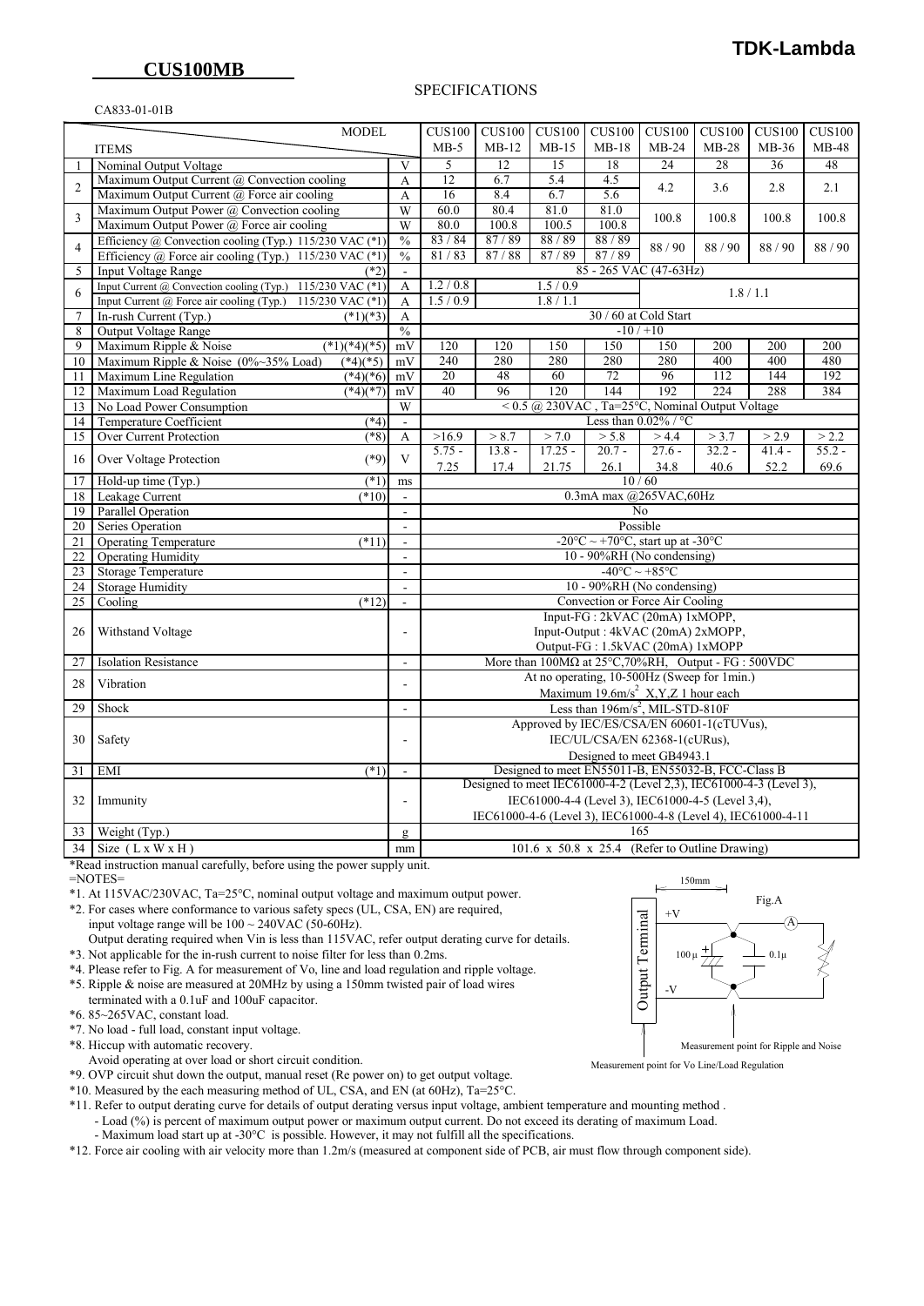#### SPECIFICATIONS

#### CA833-01-01B

|                | <b>MODEL</b>                                                 |                                | CUS100                                                             | <b>CUS100</b> | CUS100                                                                | <b>CUS100</b>                                                                              | <b>CUS100</b>                      | <b>CUS100</b>    | <b>CUS100</b> | <b>CUS100</b> |
|----------------|--------------------------------------------------------------|--------------------------------|--------------------------------------------------------------------|---------------|-----------------------------------------------------------------------|--------------------------------------------------------------------------------------------|------------------------------------|------------------|---------------|---------------|
| <b>ITEMS</b>   |                                                              |                                | $MB-5$                                                             | $MB-12$       | $MB-15$                                                               | $MB-18$                                                                                    | $MB-24$                            | $MB-28$          | $MB-36$       | $MB-48$       |
| 1              | Nominal Output Voltage                                       | V                              | 5                                                                  | 12            | 15                                                                    | 18                                                                                         | 24                                 | 28               | 36            | 48            |
|                | Maximum Output Current @ Convection cooling                  | A                              | $\overline{12}$                                                    | 6.7           | 5.4                                                                   | 4.5                                                                                        |                                    |                  |               |               |
| $\overline{2}$ | Maximum Output Current @ Force air cooling                   | A                              | 16                                                                 | 8.4           | 6.7                                                                   | 5.6                                                                                        | 4.2                                | 3.6              | 2.8           | 2.1           |
|                | Maximum Output Power @ Convection cooling                    | $\overline{\text{W}}$          | 60.0                                                               | 80.4          | 81.0                                                                  | 81.0                                                                                       |                                    |                  |               |               |
| 3              | Maximum Output Power @ Force air cooling                     | $\overline{W}$                 | 80.0                                                               | 100.8         | 100.5                                                                 | 100.8                                                                                      | 100.8                              | 100.8            | 100.8         | 100.8         |
|                | Efficiency @ Convection cooling (Typ.) 115/230 VAC $(*1)$    | $\frac{0}{0}$                  | 83/84                                                              | 87/89         | 88 / 89                                                               | 88/89                                                                                      |                                    |                  |               |               |
| $\overline{4}$ | Efficiency @ Force air cooling (Typ.) 115/230 VAC (*1)       | $\frac{0}{0}$                  | 81/83                                                              | 87/88         | 87/89                                                                 | 87/89                                                                                      | 88 / 90                            | 88/90            | 88/90         | 88/90         |
| 5              | <b>Input Voltage Range</b><br>$(*2)$                         | $\Box$                         |                                                                    |               |                                                                       | 85 - 265 VAC (47-63Hz)                                                                     |                                    |                  |               |               |
|                | Input Current @ Convection cooling (Typ.) 115/230 VAC $(*1)$ | A                              | 1.2 / 0.8                                                          |               | 1.5/0.9                                                               |                                                                                            |                                    |                  |               |               |
| 6              | Input Current @ Force air cooling (Typ.) 115/230 VAC (*1)    | A                              | 1.5/0.9                                                            |               | 1.8 / 1.1                                                             |                                                                                            |                                    | 1.8/1.1          |               |               |
| $\overline{7}$ | In-rush Current (Typ.)<br>$(*1)(*3)$                         | A                              |                                                                    |               |                                                                       |                                                                                            | 30 / 60 at Cold Start              |                  |               |               |
| $\,$ 8 $\,$    | Output Voltage Range                                         | $\frac{0}{0}$                  | $-10/110$                                                          |               |                                                                       |                                                                                            |                                    |                  |               |               |
| 9              | $\sqrt{(*1)(*4)(*5)}$<br>Maximum Ripple & Noise              | mV                             | 120                                                                | 120           | 150                                                                   | 150                                                                                        | 150                                | 200              | 200           | 200           |
| 10             | Maximum Ripple & Noise (0%~35% Load)<br>$(*4)(*5)$           | mV                             | 240                                                                | 280           | 280                                                                   | 280                                                                                        | 280                                | 400              | 400           | 480           |
| 11             | Maximum Line Regulation<br>$(*4)(*6)$ mV                     |                                | 20                                                                 | 48            | 60                                                                    | 72                                                                                         | 96                                 | $\overline{112}$ | 144           | 192           |
| 12             | Maximum Load Regulation<br>$(*4)(*7)$                        | mV                             | 40                                                                 | 96            | 120                                                                   | 144                                                                                        | 192                                | 224              | 288           | 384           |
| 13             | No Load Power Consumption                                    | $\overline{W}$                 | $<$ 0.5 @ 230VAC, Ta=25°C, Nominal Output Voltage                  |               |                                                                       |                                                                                            |                                    |                  |               |               |
| 14             | <b>Temperature Coefficient</b><br>$(*4)$                     | $\mathcal{L}^{\mathcal{L}}$    |                                                                    |               |                                                                       |                                                                                            | Less than $0.02\%$ / °C            |                  |               |               |
| 15             | Over Current Protection<br>$(*8)$                            | A                              | >16.9                                                              | > 8.7         | > 7.0                                                                 | > 5.8                                                                                      | >4.4                               | > 3.7            | > 2.9         | > 2.2         |
| 16             | $(*9)$<br>Over Voltage Protection                            | $\bar{V}$                      | $5.75 -$                                                           | $13.8 -$      | $17.25 -$                                                             | $20.7 -$                                                                                   | $27.6 -$                           | $32.2 -$         | $41.4 -$      | $55.2 -$      |
|                |                                                              |                                | 7.25                                                               | 17.4          | 21.75                                                                 | 26.1                                                                                       | 34.8                               | 40.6             | 52.2          | 69.6          |
| 17             | $(*1)$<br>Hold-up time (Typ.)<br>$(*10)$                     | ms                             |                                                                    |               |                                                                       |                                                                                            | 10/60                              |                  |               |               |
| 18             | Leakage Current<br><b>Parallel Operation</b>                 | $\omega$                       | $0.3$ mA max $@265$ VAC,60Hz<br>No                                 |               |                                                                       |                                                                                            |                                    |                  |               |               |
| 19<br>20       | Series Operation                                             | $\blacksquare$<br>$\mathbf{r}$ |                                                                    |               |                                                                       |                                                                                            | Possible                           |                  |               |               |
| 21             | <b>Operating Temperature</b><br>$(*11)$                      | $\blacksquare$                 |                                                                    |               |                                                                       | -20 $\mathrm{^{\circ}C} \sim +70\mathrm{^{\circ}C}$ , start up at -30 $\mathrm{^{\circ}C}$ |                                    |                  |               |               |
| 22             | <b>Operating Humidity</b>                                    | $\overline{\phantom{a}}$       |                                                                    |               |                                                                       | 10 - 90%RH (No condensing)                                                                 |                                    |                  |               |               |
| 23             | <b>Storage Temperature</b>                                   | ÷.                             |                                                                    |               |                                                                       |                                                                                            | $-40^{\circ}$ C ~ +85 $^{\circ}$ C |                  |               |               |
| 24             | Storage Humidity                                             | $\overline{a}$                 |                                                                    |               |                                                                       | 10 - 90%RH (No condensing)                                                                 |                                    |                  |               |               |
| 25             | Cooling<br>(12)                                              | $\blacksquare$                 |                                                                    |               |                                                                       | Convection or Force Air Cooling                                                            |                                    |                  |               |               |
|                |                                                              |                                | Input-FG: 2kVAC (20mA) 1xMOPP,                                     |               |                                                                       |                                                                                            |                                    |                  |               |               |
| 26             | Withstand Voltage                                            | ÷,                             |                                                                    |               |                                                                       | Input-Output: 4kVAC (20mA) 2xMOPP,                                                         |                                    |                  |               |               |
|                |                                                              |                                | Output-FG: 1.5kVAC (20mA) 1xMOPP                                   |               |                                                                       |                                                                                            |                                    |                  |               |               |
| 27             | <b>Isolation Resistance</b>                                  | $\frac{1}{2}$                  |                                                                    |               | More than $100M\Omega$ at $25^{\circ}$ C, 70%RH, Output - FG : 500VDC |                                                                                            |                                    |                  |               |               |
| 28             | Vibration                                                    | ä,                             |                                                                    |               | At no operating, 10-500Hz (Sweep for 1min.)                           |                                                                                            |                                    |                  |               |               |
|                |                                                              |                                |                                                                    |               |                                                                       | Maximum 19.6m/s <sup>2</sup> X,Y,Z 1 hour each                                             |                                    |                  |               |               |
| 29             | Shock                                                        | ä,                             |                                                                    |               |                                                                       | Less than $196 \text{m/s}^2$ , MIL-STD-810F                                                |                                    |                  |               |               |
|                |                                                              |                                |                                                                    |               | Approved by IEC/ES/CSA/EN 60601-1(cTUVus),                            |                                                                                            |                                    |                  |               |               |
| 30             | Safety                                                       | ÷,                             |                                                                    |               |                                                                       | IEC/UL/CSA/EN 62368-1(cURus),                                                              |                                    |                  |               |               |
|                |                                                              |                                |                                                                    |               |                                                                       | Designed to meet GB4943.1                                                                  |                                    |                  |               |               |
| 31             | EMI<br>$(*1)$                                                | ä,                             | Designed to meet EN55011-B, EN55032-B, FCC-Class B                 |               |                                                                       |                                                                                            |                                    |                  |               |               |
|                |                                                              |                                | Designed to meet IEC61000-4-2 (Level 2,3), IEC61000-4-3 (Level 3), |               |                                                                       |                                                                                            |                                    |                  |               |               |
| 32             | Immunity                                                     |                                | IEC61000-4-4 (Level 3), IEC61000-4-5 (Level 3,4),                  |               |                                                                       |                                                                                            |                                    |                  |               |               |
|                |                                                              |                                |                                                                    |               | IEC61000-4-6 (Level 3), IEC61000-4-8 (Level 4), IEC61000-4-11         |                                                                                            |                                    |                  |               |               |
| 33             | Weight (Typ.)                                                | g                              | 165<br>101.6 x 50.8 x 25.4 (Refer to Outline Drawing)              |               |                                                                       |                                                                                            |                                    |                  |               |               |
| 34             | Size $(LxWXH)$                                               | mm                             |                                                                    |               |                                                                       |                                                                                            |                                    |                  |               |               |

\*Read instruction manual carefully, before using the power supply unit.

=NOTES=

- \*1. At 115VAC/230VAC, Ta=25°C, nominal output voltage and maximum output power.
- \*2. For cases where conformance to various safety specs (UL, CSA, EN) are required, input voltage range will be  $100 \sim 240 \text{VAC}$  (50-60Hz).
- Output derating required when Vin is less than 115VAC, refer output derating curve for details. \*3. Not applicable for the in-rush current to noise filter for less than 0.2ms.
- \*4. Please refer to Fig. A for measurement of Vo, line and load regulation and ripple voltage.
- \*5. Ripple & noise are measured at 20MHz by using a 150mm twisted pair of load wires terminated with a 0.1uF and 100uF capacitor.
- \*6. 85~265VAC, constant load.

\*7. No load - full load, constant input voltage.

\*8. Hiccup with automatic recovery.

- Avoid operating at over load or short circuit condition.
- \*9. OVP circuit shut down the output, manual reset (Re power on) to get output voltage.

\*10. Measured by the each measuring method of UL, CSA, and EN (at 60Hz), Ta=25°C.

\*11. Refer to output derating curve for details of output derating versus input voltage, ambient temperature and mounting method .

- Load (%) is percent of maximum output power or maximum output current. Do not exceed its derating of maximum Load.

- Maximum load start up at -30°C is possible. However, it may not fulfill all the specifications.

\*12. Force air cooling with air velocity more than 1.2m/s (measured at component side of PCB, air must flow through component side).



Measurement point for Vo Line/Load Regulation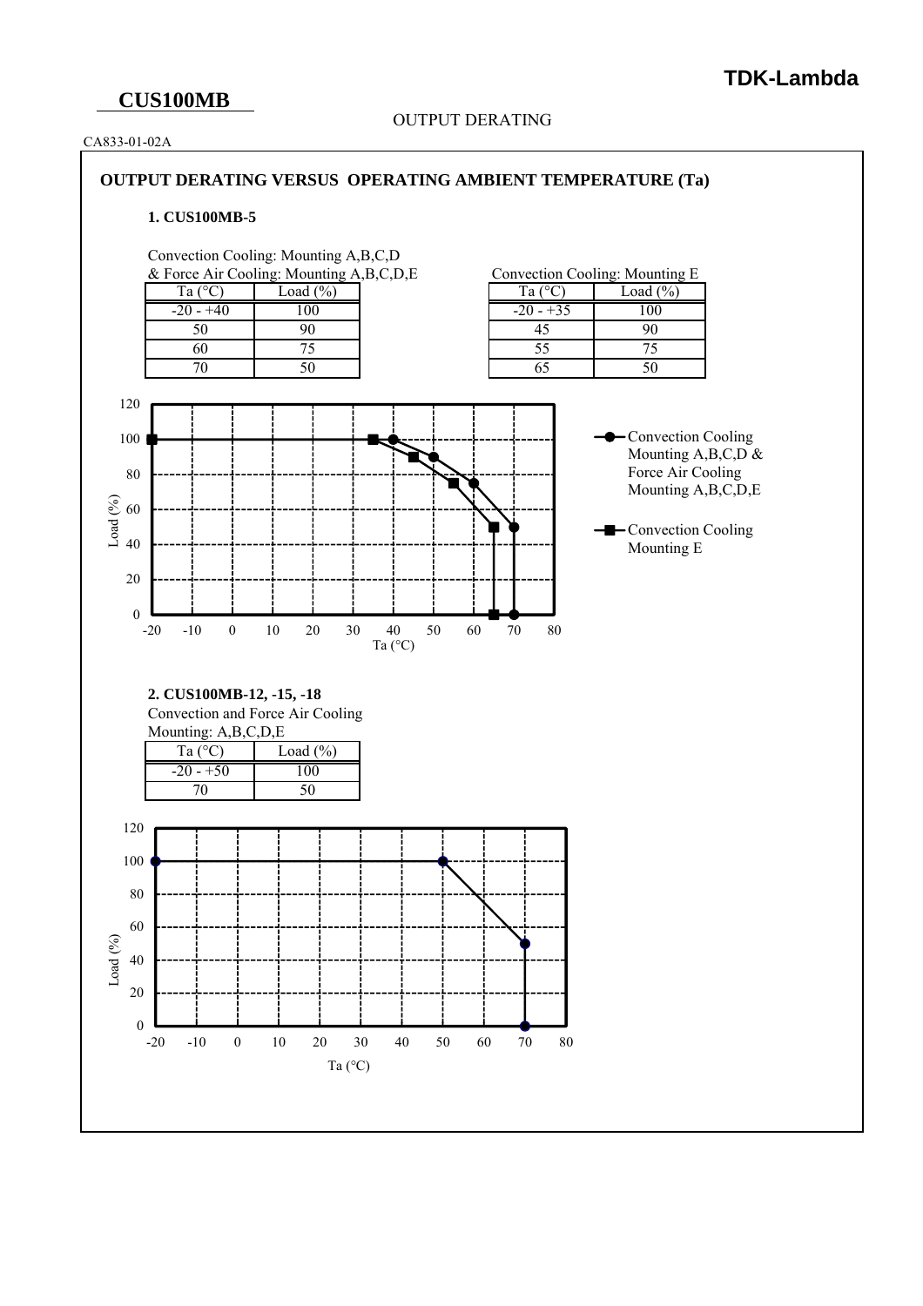## **CUS100MB**

#### OUTPUT DERATING

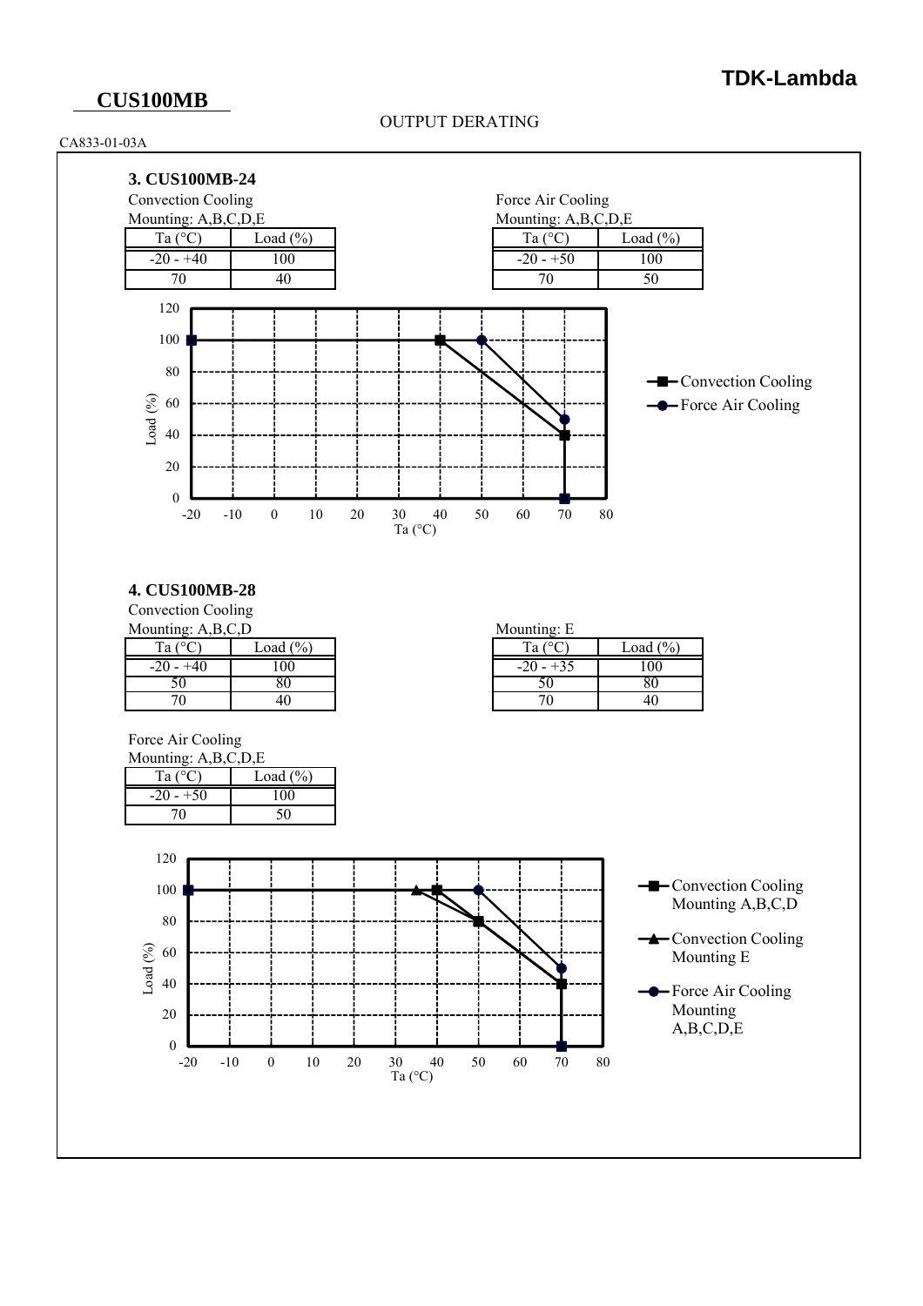## **CUS100MB**

OUTPUT DERATING





### **4. CUS100MB-28**

Convection Cooling Mounting: A,B,C,D

|             |              | --               |
|-------------|--------------|------------------|
| Ta (°C      | Load $(\% )$ | Ta $(^{\circ}C)$ |
| $-20 - +40$ | 100          | $-20 - +35$      |
|             |              |                  |
|             | 40           |                  |

| Mounting: E |              |
|-------------|--------------|
| Ta (        | Load $(\% )$ |
| $-20 - +35$ | 100          |
|             |              |
| 70          | 40           |

Force Air Cooling

| Mounting: A,B,C,D,E |              |  |  |  |  |
|---------------------|--------------|--|--|--|--|
| Ta (                | Load $(\% )$ |  |  |  |  |
| $-20 - 50$          | 100          |  |  |  |  |
| 70                  |              |  |  |  |  |

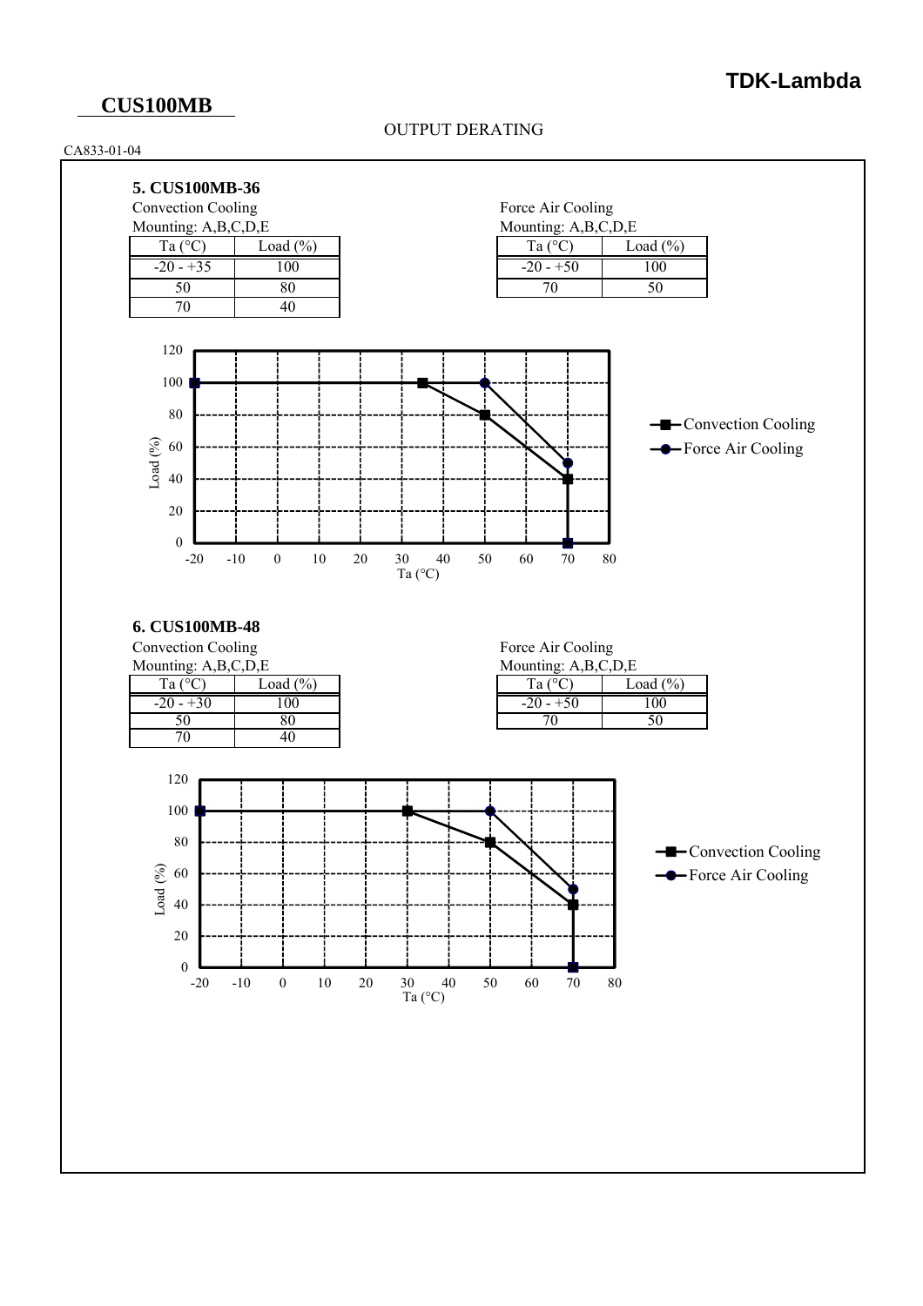### **CUS100MB**

#### OUTPUT DERATING